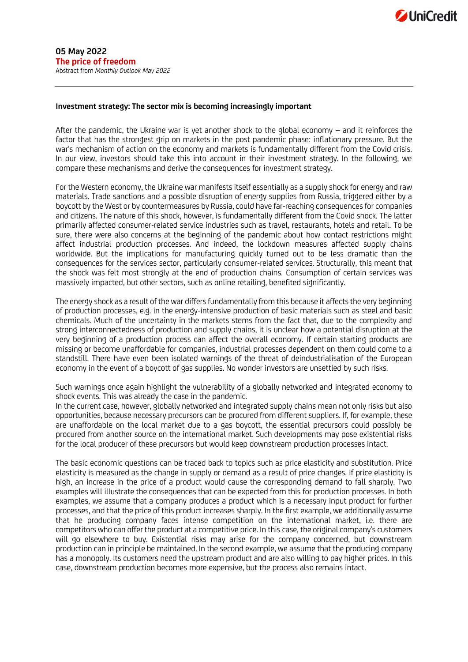## **Investment strategy: The sector mix is becoming increasingly important**

After the pandemic, the Ukraine war is yet another shock to the global economy – and it reinforces the factor that has the strongest grip on markets in the post pandemic phase: inflationary pressure. But the war's mechanism of action on the economy and markets is fundamentally different from the Covid crisis. In our view, investors should take this into account in their investment strategy. In the following, we compare these mechanisms and derive the consequences for investment strategy.

For the Western economy, the Ukraine war manifests itself essentially as a supply shock for energy and raw materials. Trade sanctions and a possible disruption of energy supplies from Russia, triggered either by a boycott by the West or by countermeasures by Russia, could have far-reaching consequences for companies and citizens. The nature of this shock, however, is fundamentally different from the Covid shock. The latter primarily affected consumer-related service industries such as travel, restaurants, hotels and retail. To be sure, there were also concerns at the beginning of the pandemic about how contact restrictions might affect industrial production processes. And indeed, the lockdown measures affected supply chains worldwide. But the implications for manufacturing quickly turned out to be less dramatic than the consequences for the services sector, particularly consumer-related services. Structurally, this meant that the shock was felt most strongly at the end of production chains. Consumption of certain services was massively impacted, but other sectors, such as online retailing, benefited significantly.

The energy shock as a result of the war differs fundamentally from this because it affects the very beginning of production processes, e.g. in the energy-intensive production of basic materials such as steel and basic chemicals. Much of the uncertainty in the markets stems from the fact that, due to the complexity and strong interconnectedness of production and supply chains, it is unclear how a potential disruption at the very beginning of a production process can affect the overall economy. If certain starting products are missing or become unaffordable for companies, industrial processes dependent on them could come to a standstill. There have even been isolated warnings of the threat of deindustrialisation of the European economy in the event of a boycott of gas supplies. No wonder investors are unsettled by such risks.

Such warnings once again highlight the vulnerability of a globally networked and integrated economy to shock events. This was already the case in the pandemic.

In the current case, however, globally networked and integrated supply chains mean not only risks but also opportunities, because necessary precursors can be procured from different suppliers. If, for example, these are unaffordable on the local market due to a gas boycott, the essential precursors could possibly be procured from another source on the international market. Such developments may pose existential risks for the local producer of these precursors but would keep downstream production processes intact.

The basic economic questions can be traced back to topics such as price elasticity and substitution. Price elasticity is measured as the change in supply or demand as a result of price changes. If price elasticity is high, an increase in the price of a product would cause the corresponding demand to fall sharply. Two examples will illustrate the consequences that can be expected from this for production processes. In both examples, we assume that a company produces a product which is a necessary input product for further processes, and that the price of this product increases sharply. In the first example, we additionally assume that he producing company faces intense competition on the international market, i.e. there are competitors who can offer the product at a competitive price. In this case, the original company's customers will go elsewhere to buy. Existential risks may arise for the company concerned, but downstream production can in principle be maintained. In the second example, we assume that the producing company has a monopoly. Its customers need the upstream product and are also willing to pay higher prices. In this case, downstream production becomes more expensive, but the process also remains intact.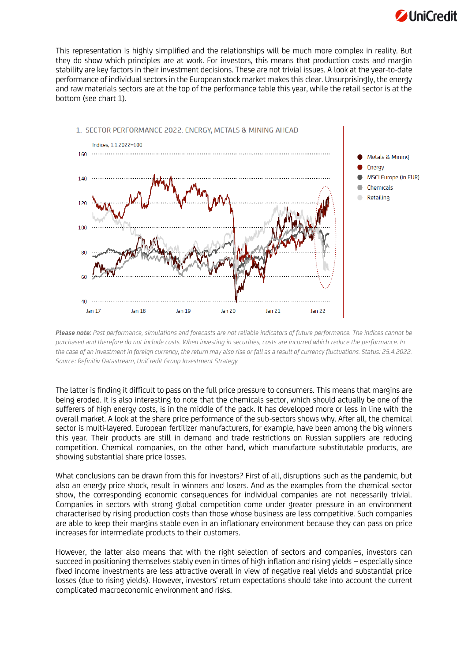

This representation is highly simplified and the relationships will be much more complex in reality. But they do show which principles are at work. For investors, this means that production costs and margin stability are key factors in their investment decisions. These are not trivial issues. A look at the year-to-date performance of individual sectors in the European stock market makes this clear. Unsurprisingly, the energy and raw materials sectors are at the top of the performance table this year, while the retail sector is at the bottom (see chart 1).



*Please note: Past performance, simulations and forecasts are not reliable indicators of future performance. The indices cannot be purchased and therefore do not include costs. When investing in securities, costs are incurred which reduce the performance. In the case of an investment in foreign currency, the return may also rise or fall as a result of currency fluctuations. Status: 25.4.2022. Source: Refinitiv Datastream, UniCredit Group Investment Strategy*

The latter is finding it difficult to pass on the full price pressure to consumers. This means that margins are being eroded. It is also interesting to note that the chemicals sector, which should actually be one of the sufferers of high energy costs, is in the middle of the pack. It has developed more or less in line with the overall market. A look at the share price performance of the sub-sectors shows why. After all, the chemical sector is multi-layered. European fertilizer manufacturers, for example, have been among the big winners this year. Their products are still in demand and trade restrictions on Russian suppliers are reducing competition. Chemical companies, on the other hand, which manufacture substitutable products, are showing substantial share price losses.

What conclusions can be drawn from this for investors? First of all, disruptions such as the pandemic, but also an energy price shock, result in winners and losers. And as the examples from the chemical sector show, the corresponding economic consequences for individual companies are not necessarily trivial. Companies in sectors with strong global competition come under greater pressure in an environment characterised by rising production costs than those whose business are less competitive. Such companies are able to keep their margins stable even in an inflationary environment because they can pass on price increases for intermediate products to their customers.

However, the latter also means that with the right selection of sectors and companies, investors can succeed in positioning themselves stably even in times of high inflation and rising yields – especially since fixed income investments are less attractive overall in view of negative real yields and substantial price losses (due to rising yields). However, investors' return expectations should take into account the current complicated macroeconomic environment and risks.